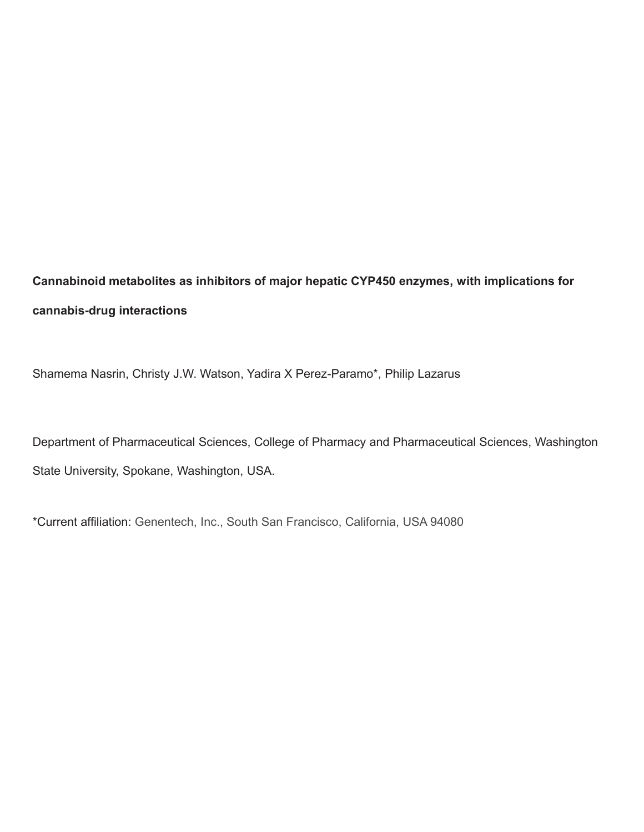**Cannabinoid metabolites as inhibitors of major hepatic CYP450 enzymes, with implications for cannabis-drug interactions**

Shamema Nasrin, Christy J.W. Watson, Yadira X Perez-Paramo\*, Philip Lazarus

Department of Pharmaceutical Sciences, College of Pharmacy and Pharmaceutical Sciences, Washington State University, Spokane, Washington, USA.

\*Current affiliation: Genentech, Inc., South San Francisco, California, USA 94080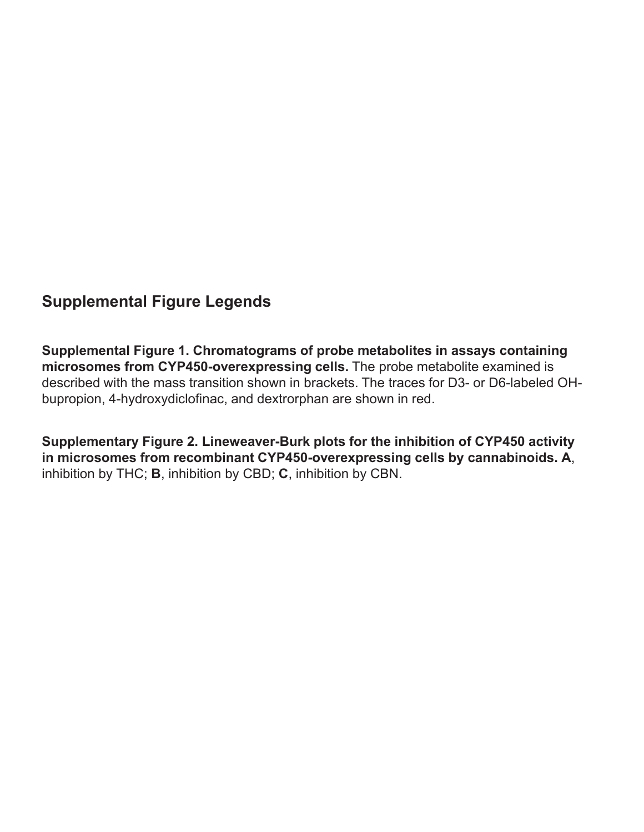## **Supplemental Figure Legends**

**Supplemental Figure 1. Chromatograms of probe metabolites in assays containing microsomes from CYP450-overexpressing cells.** The probe metabolite examined is described with the mass transition shown in brackets. The traces for D3- or D6-labeled OHbupropion, 4-hydroxydiclofinac, and dextrorphan are shown in red.

**Supplementary Figure 2. Lineweaver-Burk plots for the inhibition of CYP450 activity in microsomes from recombinant CYP450-overexpressing cells by cannabinoids. A**, inhibition by THC; **B**, inhibition by CBD; **C**, inhibition by CBN.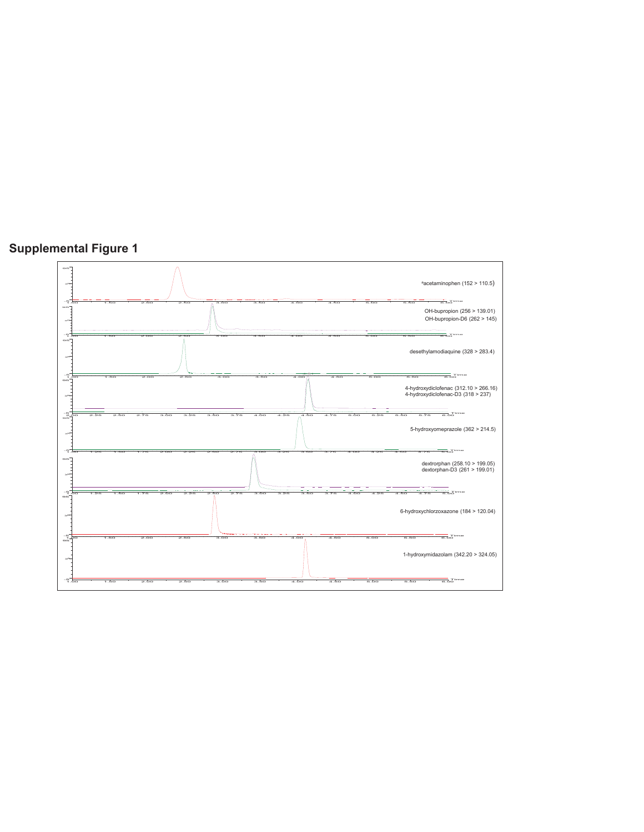

## **Supplemental Figure 1**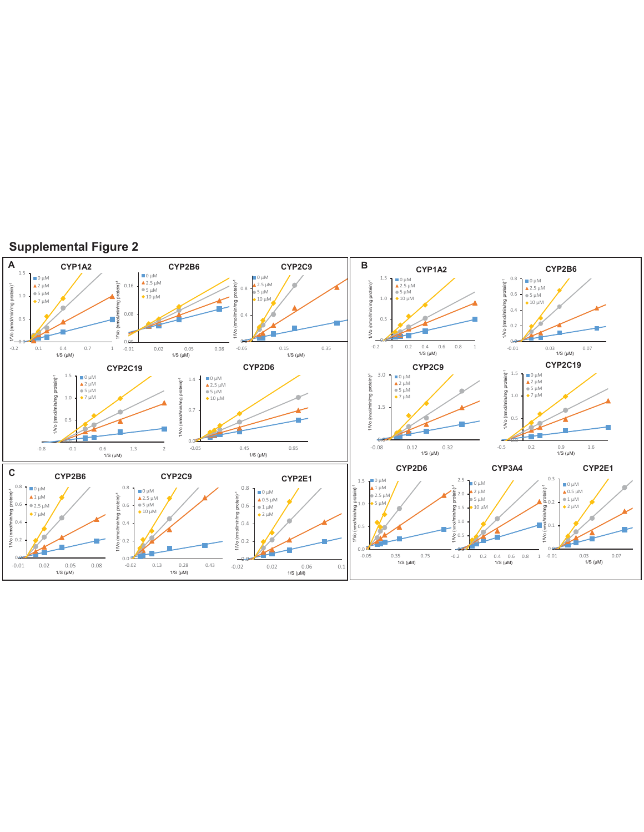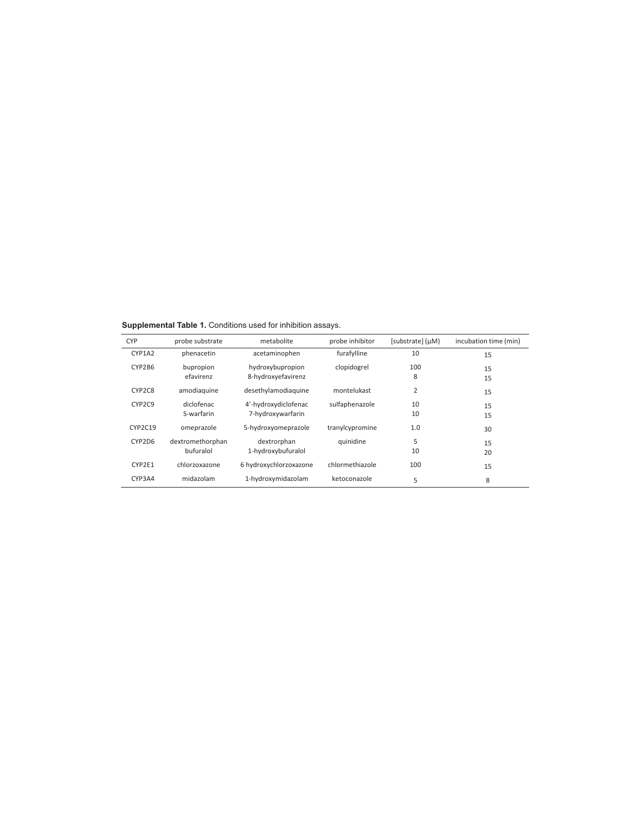**Supplemental Table 1.** Conditions used for inhibition assays.

| <b>CYP</b> | probe substrate  | metabolite             | probe inhibitor | [substrate] (µM) | incubation time (min) |  |
|------------|------------------|------------------------|-----------------|------------------|-----------------------|--|
| CYP1A2     | phenacetin       | acetaminophen          | furafylline     | 10               | 15                    |  |
| CYP2B6     | bupropion        | hydroxybupropion       | clopidogrel     | 100              | 15                    |  |
|            | efavirenz        | 8-hydroxyefavirenz     |                 | 8                | 15                    |  |
| CYP2C8     | amodiaguine      | desethylamodiaguine    | montelukast     | 2                | 15                    |  |
| CYP2C9     | diclofenac       | 4'-hydroxydiclofenac   | sulfaphenazole  | 10               | 15                    |  |
|            | S-warfarin       | 7-hydroxywarfarin      |                 | 10               | 15                    |  |
| CYP2C19    | omeprazole       | 5-hydroxyomeprazole    | tranylcypromine | 1.0              | 30                    |  |
| CYP2D6     | dextromethorphan | dextrorphan            | quinidine       | 5                | 15                    |  |
|            | bufuralol        | 1-hydroxybufuralol     |                 | 10               | 20                    |  |
| CYP2E1     | chlorzoxazone    | 6 hydroxychlorzoxazone | chlormethiazole | 100              | 15                    |  |
| CYP3A4     | midazolam        | 1-hydroxymidazolam     | ketoconazole    | 5                | 8                     |  |